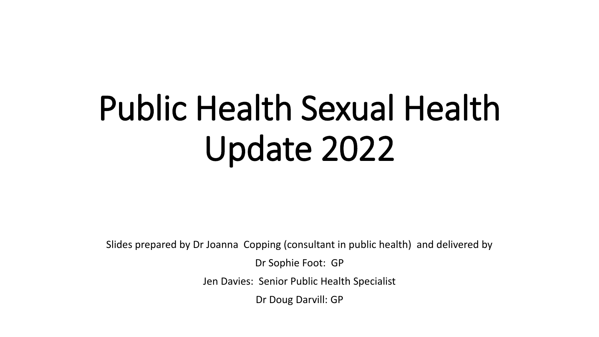# Public Health Sexual Health Update 2022

Slides prepared by Dr Joanna Copping (consultant in public health) and delivered by

Dr Sophie Foot: GP

Jen Davies: Senior Public Health Specialist

Dr Doug Darvill: GP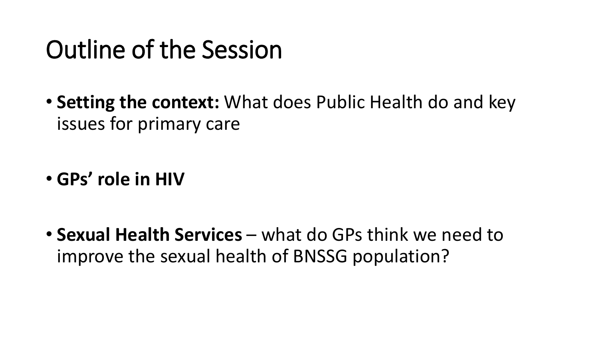# Outline of the Session

• **Setting the context:** What does Public Health do and key issues for primary care

• **GPs' role in HIV**

• **Sexual Health Services** – what do GPs think we need to improve the sexual health of BNSSG population?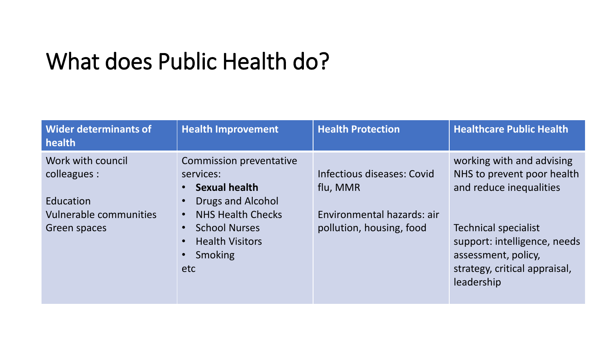### What does Public Health do?

| Wider determinants of<br>health                                                                 | <b>Health Improvement</b>                                                                                                                                                                                                                                              | <b>Health Protection</b>                                                                         | <b>Healthcare Public Health</b>                                                                                                                                                                                         |
|-------------------------------------------------------------------------------------------------|------------------------------------------------------------------------------------------------------------------------------------------------------------------------------------------------------------------------------------------------------------------------|--------------------------------------------------------------------------------------------------|-------------------------------------------------------------------------------------------------------------------------------------------------------------------------------------------------------------------------|
| Work with council<br>colleagues :<br>Education<br><b>Vulnerable communities</b><br>Green spaces | <b>Commission preventative</b><br>services:<br><b>Sexual health</b><br>$\bullet$<br>Drugs and Alcohol<br>$\bullet$<br><b>NHS Health Checks</b><br>$\bullet$<br><b>School Nurses</b><br>$\bullet$<br><b>Health Visitors</b><br>$\bullet$<br>Smoking<br>$\bullet$<br>etc | Infectious diseases: Covid<br>flu, MMR<br>Environmental hazards: air<br>pollution, housing, food | working with and advising<br>NHS to prevent poor health<br>and reduce inequalities<br><b>Technical specialist</b><br>support: intelligence, needs<br>assessment, policy,<br>strategy, critical appraisal,<br>leadership |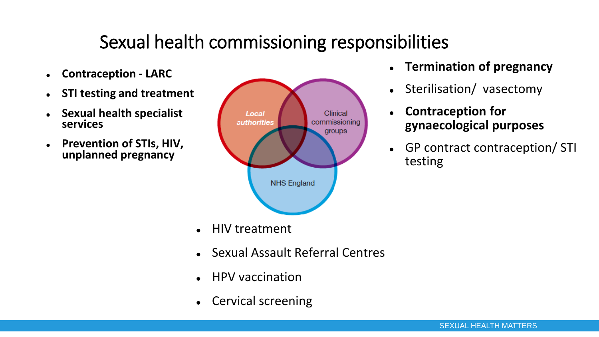#### Sexual health commissioning responsibilities

- ⚫ **Contraception - LARC**
- ⚫ **STI testing and treatment**
- ⚫ **Sexual health specialist services**
- ⚫ **Prevention of STIs, HIV, unplanned pregnancy**



- ⚫ HIV treatment
- ⚫ Sexual Assault Referral Centres
- ⚫ HPV vaccination
- ⚫ Cervical screening
- ⚫ **Termination of pregnancy**
- Sterilisation/ vasectomy
- ⚫ **Contraception for gynaecological purposes**
- GP contract contraception/ STI testing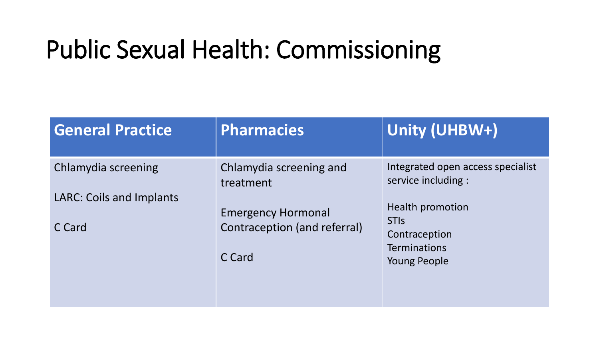# Public Sexual Health: Commissioning

| <b>General Practice</b>                   | <b>Pharmacies</b>                                         | Unity (UHBW+)                                            |  |  |
|-------------------------------------------|-----------------------------------------------------------|----------------------------------------------------------|--|--|
| Chlamydia screening                       | Chlamydia screening and<br>treatment                      | Integrated open access specialist<br>service including : |  |  |
| <b>LARC: Coils and Implants</b><br>C Card | <b>Emergency Hormonal</b><br>Contraception (and referral) | <b>Health promotion</b><br><b>STIS</b><br>Contraception  |  |  |
|                                           | C Card                                                    | <b>Terminations</b><br><b>Young People</b>               |  |  |
|                                           |                                                           |                                                          |  |  |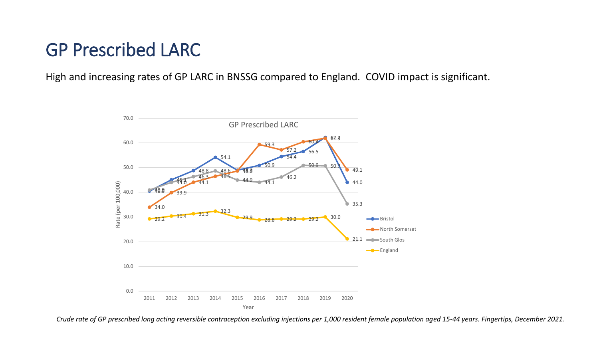#### GP Prescribed LARC

High and increasing rates of GP LARC in BNSSG compared to England. COVID impact is significant.



*Crude rate of GP prescribed long acting reversible contraception excluding injections per 1,000 resident female population aged 15-44 years. Fingertips, December 2021.*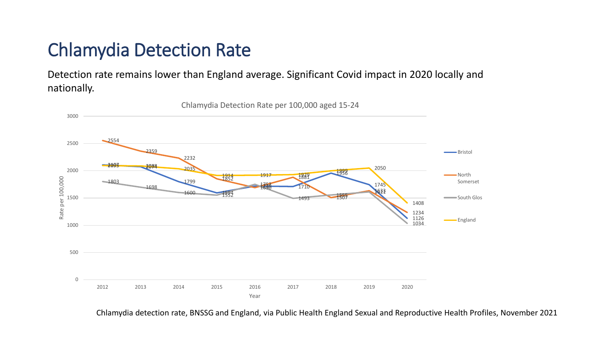#### Chlamydia Detection Rate

Detection rate remains lower than England average. Significant Covid impact in 2020 locally and nationally.



Chlamydia Detection Rate per 100,000 aged 15-24

Chlamydia detection rate, BNSSG and England, via Public Health England Sexual and Reproductive Health Profiles, November 2021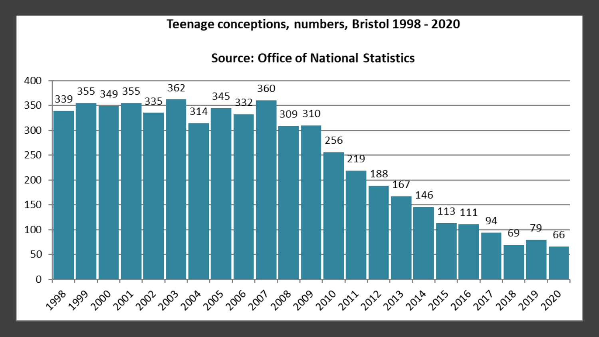#### Teenage conceptions, numbers, Bristol 1998 - 2020

#### **Source: Office of National Statistics**

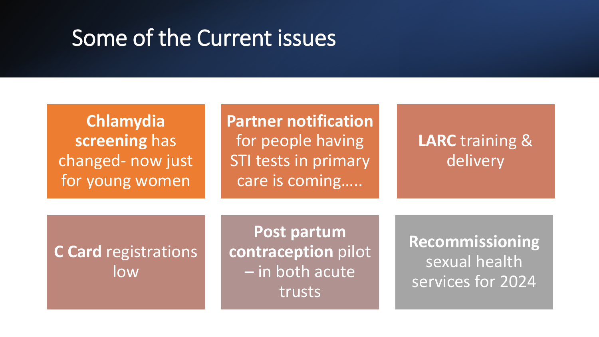### Some of the Current issues

**Chlamydia screening** has changed- now just for young women

**Partner notification**  for people having STI tests in primary care is coming…..

#### **LARC** training & delivery

#### **C Card** registrations low

**Post partum contraception** pilot – in both acute trusts

**Recommissioning** sexual health services for 2024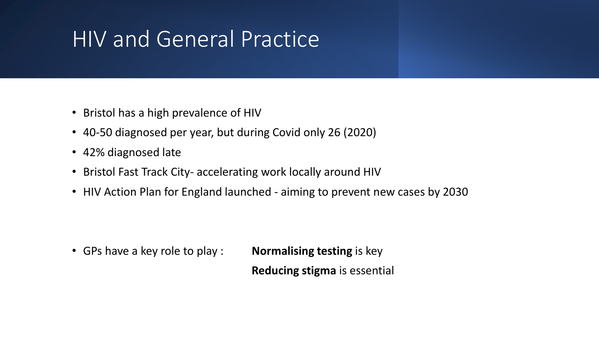### HIV and General Practice

- Bristol has a high prevalence of HIV
- 40-50 diagnosed per year, but during Covid only 26 (2020)
- 42% diagnosed late
- Bristol Fast Track City- accelerating work locally around HIV
- HIV Action Plan for England launched aiming to prevent new cases by 2030

• GPs have a key role to play : **Normalising testing** is key **Reducing stigma** is essential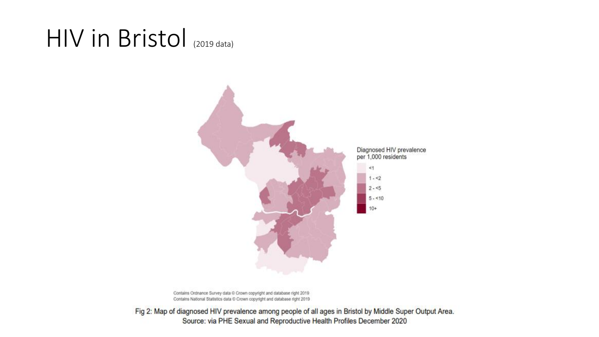### HIV in Bristol (2019 data)



Contains Ordnance Survey data @ Crown copyright and database right 2019. Contains National Statistics data @ Crown copyright and database right 2019

Fig 2: Map of diagnosed HIV prevalence among people of all ages in Bristol by Middle Super Output Area. Source: via PHE Sexual and Reproductive Health Profiles December 2020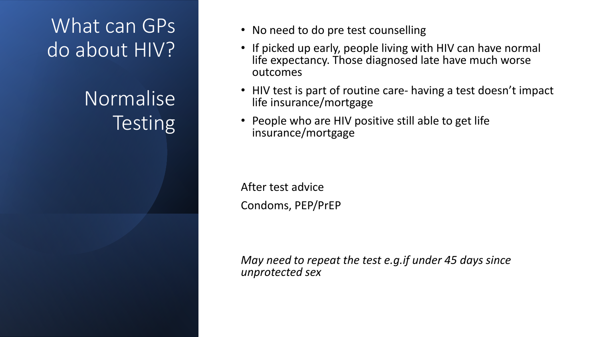### What can GPs do about HIV?

Normalise **Testing** 

- No need to do pre test counselling
- If picked up early, people living with HIV can have normal life expectancy. Those diagnosed late have much worse outcomes
- HIV test is part of routine care- having a test doesn't impact life insurance/mortgage
- People who are HIV positive still able to get life insurance/mortgage

After test advice Condoms, PEP/PrEP

*May need to repeat the test e.g.if under 45 days since unprotected sex*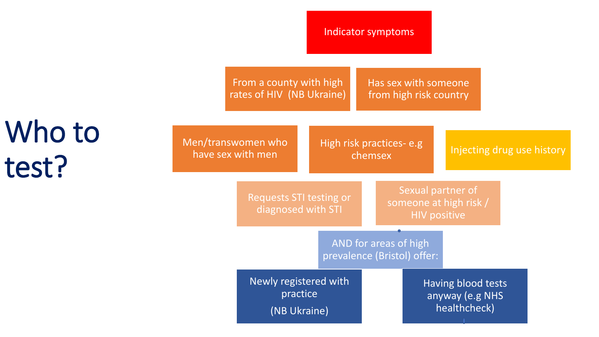Indicator symptoms

From a county with high rates of HIV (NB Ukraine) Has sex with someone from high risk country

Who to test?

| Men/transwomen who<br>have sex with men |                                                   | High risk practices-e.g<br>chemsex |                       |                                                                    | Injecting drug use history |  |  |  |
|-----------------------------------------|---------------------------------------------------|------------------------------------|-----------------------|--------------------------------------------------------------------|----------------------------|--|--|--|
|                                         | Requests STI testing or<br>diagnosed with STI     |                                    |                       | Sexual partner of<br>someone at high risk /<br><b>HIV positive</b> |                            |  |  |  |
|                                         |                                                   | prevalence (Bristol) offer:        | AND for areas of high |                                                                    |                            |  |  |  |
|                                         | Newly registered with<br>practice<br>(NB Ukraine) |                                    |                       | Having blood tests<br>anyway (e.g NHS<br>healthcheck)              |                            |  |  |  |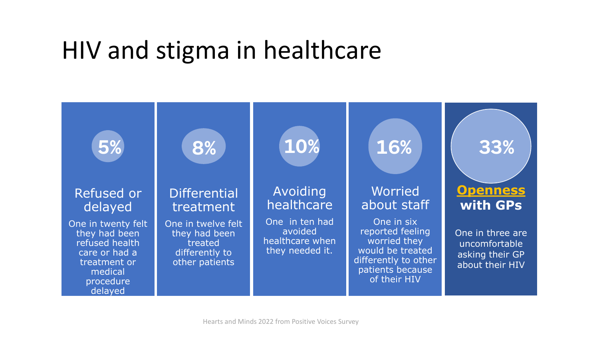# HIV and stigma in healthcare

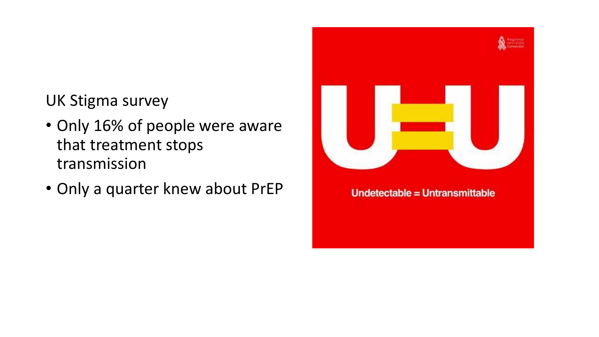#### UK Stigma survey

- Only 16% of people were aware that treatment stops transmission
- Only a quarter knew about PrEP

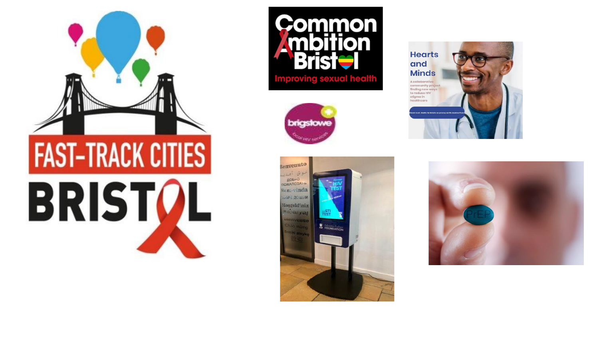









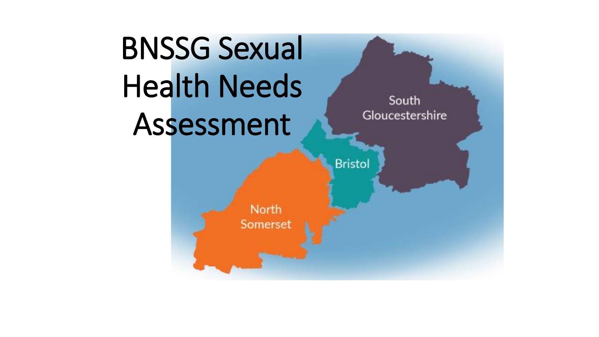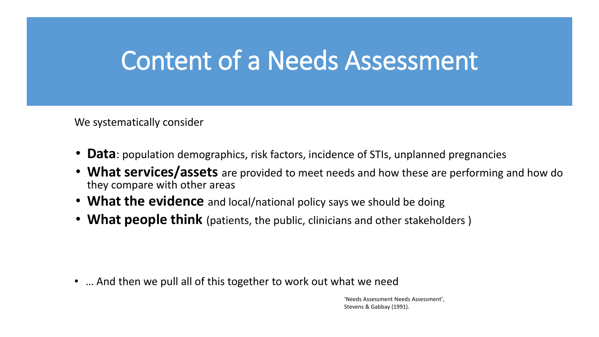## Content of a Needs Assessment

We systematically consider

- **Data**: population demographics, risk factors, incidence of STIs, unplanned pregnancies
- **What services/assets** are provided to meet needs and how these are performing and how do they compare with other areas
- **What the evidence** and local/national policy says we should be doing
- **What people think** (patients, the public, clinicians and other stakeholders )

• … And then we pull all of this together to work out what we need

'Needs Assessment Needs Assessment', Stevens & Gabbay (1991).